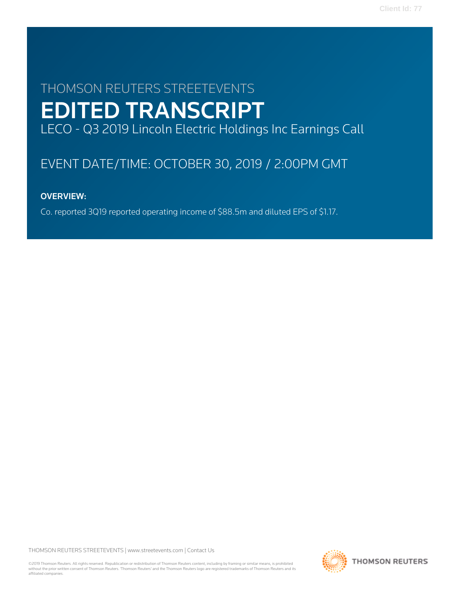# THOMSON REUTERS STREETEVENTS EDITED TRANSCRIPT LECO - Q3 2019 Lincoln Electric Holdings Inc Earnings Call

# EVENT DATE/TIME: OCTOBER 30, 2019 / 2:00PM GMT

# OVERVIEW:

Co. reported 3Q19 reported operating income of \$88.5m and diluted EPS of \$1.17.

THOMSON REUTERS STREETEVENTS | [www.streetevents.com](http://www.streetevents.com) | [Contact Us](http://www010.streetevents.com/contact.asp)

©2019 Thomson Reuters. All rights reserved. Republication or redistribution of Thomson Reuters content, including by framing or similar means, is prohibited without the prior written consent of Thomson Reuters. 'Thomson Reuters' and the Thomson Reuters logo are registered trademarks of Thomson Reuters and its affiliated companies.

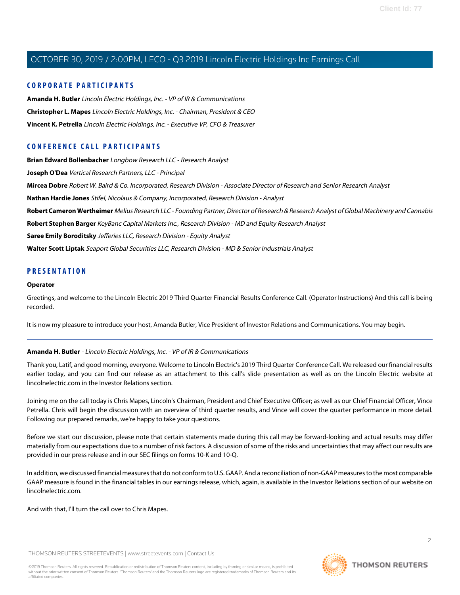# **CORPORATE PARTICIPANTS**

**[Amanda H. Butler](#page-1-0)** Lincoln Electric Holdings, Inc. - VP of IR & Communications **[Christopher L. Mapes](#page-2-0)** Lincoln Electric Holdings, Inc. - Chairman, President & CEO **[Vincent K. Petrella](#page-3-0)** Lincoln Electric Holdings, Inc. - Executive VP, CFO & Treasurer

# **CONFERENCE CALL PARTICIPANTS**

**[Brian Edward Bollenbacher](#page-10-0)** Longbow Research LLC - Research Analyst **[Joseph O'Dea](#page-11-0)** Vertical Research Partners, LLC - Principal **[Mircea Dobre](#page-7-0)** Robert W. Baird & Co. Incorporated, Research Division - Associate Director of Research and Senior Research Analyst **[Nathan Hardie Jones](#page-6-0)** Stifel, Nicolaus & Company, Incorporated, Research Division - Analyst **[Robert Cameron Wertheimer](#page-4-0)** Melius Research LLC - Founding Partner, Director of Research & Research Analyst of Global Machinery and Cannabis **[Robert Stephen Barger](#page-12-0)** KeyBanc Capital Markets Inc., Research Division - MD and Equity Research Analyst **[Saree Emily Boroditsky](#page-5-0)** Jefferies LLC, Research Division - Equity Analyst **[Walter Scott Liptak](#page-9-0)** Seaport Global Securities LLC, Research Division - MD & Senior Industrials Analyst

# **PRESENTATION**

#### **Operator**

Greetings, and welcome to the Lincoln Electric 2019 Third Quarter Financial Results Conference Call. (Operator Instructions) And this call is being recorded.

<span id="page-1-0"></span>It is now my pleasure to introduce your host, Amanda Butler, Vice President of Investor Relations and Communications. You may begin.

# **Amanda H. Butler** - Lincoln Electric Holdings, Inc. - VP of IR & Communications

Thank you, Latif, and good morning, everyone. Welcome to Lincoln Electric's 2019 Third Quarter Conference Call. We released our financial results earlier today, and you can find our release as an attachment to this call's slide presentation as well as on the Lincoln Electric website at lincolnelectric.com in the Investor Relations section.

Joining me on the call today is Chris Mapes, Lincoln's Chairman, President and Chief Executive Officer; as well as our Chief Financial Officer, Vince Petrella. Chris will begin the discussion with an overview of third quarter results, and Vince will cover the quarter performance in more detail. Following our prepared remarks, we're happy to take your questions.

Before we start our discussion, please note that certain statements made during this call may be forward-looking and actual results may differ materially from our expectations due to a number of risk factors. A discussion of some of the risks and uncertainties that may affect our results are provided in our press release and in our SEC filings on forms 10-K and 10-Q.

In addition, we discussed financial measures that do not conform to U.S. GAAP. And a reconciliation of non-GAAP measures to the most comparable GAAP measure is found in the financial tables in our earnings release, which, again, is available in the Investor Relations section of our website on lincolnelectric.com.

And with that, I'll turn the call over to Chris Mapes.

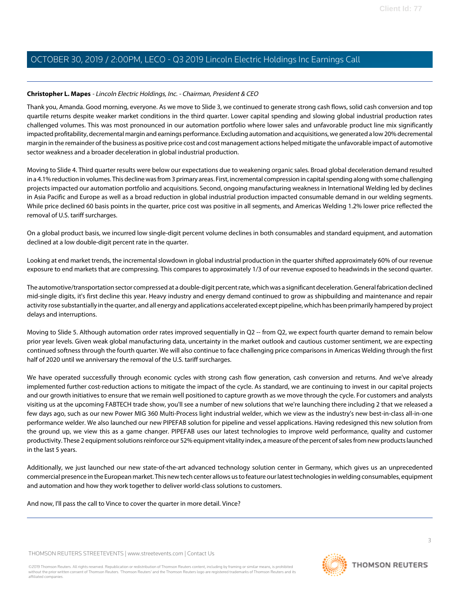# <span id="page-2-0"></span>**Christopher L. Mapes** - Lincoln Electric Holdings, Inc. - Chairman, President & CEO

Thank you, Amanda. Good morning, everyone. As we move to Slide 3, we continued to generate strong cash flows, solid cash conversion and top quartile returns despite weaker market conditions in the third quarter. Lower capital spending and slowing global industrial production rates challenged volumes. This was most pronounced in our automation portfolio where lower sales and unfavorable product line mix significantly impacted profitability, decremental margin and earnings performance. Excluding automation and acquisitions, we generated a low 20% decremental margin in the remainder of the business as positive price cost and cost management actions helped mitigate the unfavorable impact of automotive sector weakness and a broader deceleration in global industrial production.

Moving to Slide 4. Third quarter results were below our expectations due to weakening organic sales. Broad global deceleration demand resulted in a 4.1% reduction in volumes. This decline was from 3 primary areas. First, incremental compression in capital spending along with some challenging projects impacted our automation portfolio and acquisitions. Second, ongoing manufacturing weakness in International Welding led by declines in Asia Pacific and Europe as well as a broad reduction in global industrial production impacted consumable demand in our welding segments. While price declined 60 basis points in the quarter, price cost was positive in all segments, and Americas Welding 1.2% lower price reflected the removal of U.S. tariff surcharges.

On a global product basis, we incurred low single-digit percent volume declines in both consumables and standard equipment, and automation declined at a low double-digit percent rate in the quarter.

Looking at end market trends, the incremental slowdown in global industrial production in the quarter shifted approximately 60% of our revenue exposure to end markets that are compressing. This compares to approximately 1/3 of our revenue exposed to headwinds in the second quarter.

The automotive/transportation sector compressed at a double-digit percent rate, which was a significant deceleration. General fabrication declined mid-single digits, it's first decline this year. Heavy industry and energy demand continued to grow as shipbuilding and maintenance and repair activity rose substantially in the quarter, and all energy and applications accelerated except pipeline, which has been primarily hampered by project delays and interruptions.

Moving to Slide 5. Although automation order rates improved sequentially in Q2 -- from Q2, we expect fourth quarter demand to remain below prior year levels. Given weak global manufacturing data, uncertainty in the market outlook and cautious customer sentiment, we are expecting continued softness through the fourth quarter. We will also continue to face challenging price comparisons in Americas Welding through the first half of 2020 until we anniversary the removal of the U.S. tariff surcharges.

We have operated successfully through economic cycles with strong cash flow generation, cash conversion and returns. And we've already implemented further cost-reduction actions to mitigate the impact of the cycle. As standard, we are continuing to invest in our capital projects and our growth initiatives to ensure that we remain well positioned to capture growth as we move through the cycle. For customers and analysts visiting us at the upcoming FABTECH trade show, you'll see a number of new solutions that we're launching there including 2 that we released a few days ago, such as our new Power MIG 360 Multi-Process light industrial welder, which we view as the industry's new best-in-class all-in-one performance welder. We also launched our new PIPEFAB solution for pipeline and vessel applications. Having redesigned this new solution from the ground up, we view this as a game changer. PIPEFAB uses our latest technologies to improve weld performance, quality and customer productivity. These 2 equipment solutions reinforce our 52% equipment vitality index, a measure of the percent of sales from new products launched in the last 5 years.

Additionally, we just launched our new state-of-the-art advanced technology solution center in Germany, which gives us an unprecedented commercial presence in the European market. This new tech center allows us to feature our latest technologies in welding consumables, equipment and automation and how they work together to deliver world-class solutions to customers.

And now, I'll pass the call to Vince to cover the quarter in more detail. Vince?

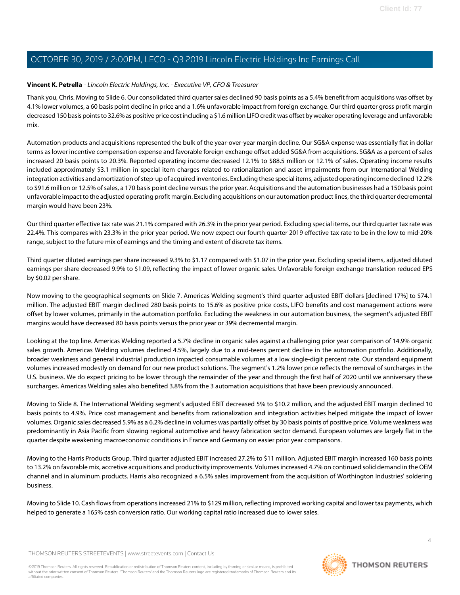# <span id="page-3-0"></span>**Vincent K. Petrella** - Lincoln Electric Holdings, Inc. - Executive VP, CFO & Treasurer

Thank you, Chris. Moving to Slide 6. Our consolidated third quarter sales declined 90 basis points as a 5.4% benefit from acquisitions was offset by 4.1% lower volumes, a 60 basis point decline in price and a 1.6% unfavorable impact from foreign exchange. Our third quarter gross profit margin decreased 150 basis points to 32.6% as positive price cost including a \$1.6 million LIFO credit was offset by weaker operating leverage and unfavorable mix.

Automation products and acquisitions represented the bulk of the year-over-year margin decline. Our SG&A expense was essentially flat in dollar terms as lower incentive compensation expense and favorable foreign exchange offset added SG&A from acquisitions. SG&A as a percent of sales increased 20 basis points to 20.3%. Reported operating income decreased 12.1% to \$88.5 million or 12.1% of sales. Operating income results included approximately \$3.1 million in special item charges related to rationalization and asset impairments from our International Welding integration activities and amortization of step-up of acquired inventories. Excluding these special items, adjusted operating income declined 12.2% to \$91.6 million or 12.5% of sales, a 170 basis point decline versus the prior year. Acquisitions and the automation businesses had a 150 basis point unfavorable impact to the adjusted operating profit margin. Excluding acquisitions on our automation product lines, the third quarter decremental margin would have been 23%.

Our third quarter effective tax rate was 21.1% compared with 26.3% in the prior year period. Excluding special items, our third quarter tax rate was 22.4%. This compares with 23.3% in the prior year period. We now expect our fourth quarter 2019 effective tax rate to be in the low to mid-20% range, subject to the future mix of earnings and the timing and extent of discrete tax items.

Third quarter diluted earnings per share increased 9.3% to \$1.17 compared with \$1.07 in the prior year. Excluding special items, adjusted diluted earnings per share decreased 9.9% to \$1.09, reflecting the impact of lower organic sales. Unfavorable foreign exchange translation reduced EPS by \$0.02 per share.

Now moving to the geographical segments on Slide 7. Americas Welding segment's third quarter adjusted EBIT dollars [declined 17%] to \$74.1 million. The adjusted EBIT margin declined 280 basis points to 15.6% as positive price costs, LIFO benefits and cost management actions were offset by lower volumes, primarily in the automation portfolio. Excluding the weakness in our automation business, the segment's adjusted EBIT margins would have decreased 80 basis points versus the prior year or 39% decremental margin.

Looking at the top line. Americas Welding reported a 5.7% decline in organic sales against a challenging prior year comparison of 14.9% organic sales growth. Americas Welding volumes declined 4.5%, largely due to a mid-teens percent decline in the automation portfolio. Additionally, broader weakness and general industrial production impacted consumable volumes at a low single-digit percent rate. Our standard equipment volumes increased modestly on demand for our new product solutions. The segment's 1.2% lower price reflects the removal of surcharges in the U.S. business. We do expect pricing to be lower through the remainder of the year and through the first half of 2020 until we anniversary these surcharges. Americas Welding sales also benefited 3.8% from the 3 automation acquisitions that have been previously announced.

Moving to Slide 8. The International Welding segment's adjusted EBIT decreased 5% to \$10.2 million, and the adjusted EBIT margin declined 10 basis points to 4.9%. Price cost management and benefits from rationalization and integration activities helped mitigate the impact of lower volumes. Organic sales decreased 5.9% as a 6.2% decline in volumes was partially offset by 30 basis points of positive price. Volume weakness was predominantly in Asia Pacific from slowing regional automotive and heavy fabrication sector demand. European volumes are largely flat in the quarter despite weakening macroeconomic conditions in France and Germany on easier prior year comparisons.

Moving to the Harris Products Group. Third quarter adjusted EBIT increased 27.2% to \$11 million. Adjusted EBIT margin increased 160 basis points to 13.2% on favorable mix, accretive acquisitions and productivity improvements. Volumes increased 4.7% on continued solid demand in the OEM channel and in aluminum products. Harris also recognized a 6.5% sales improvement from the acquisition of Worthington Industries' soldering business.

Moving to Slide 10. Cash flows from operations increased 21% to \$129 million, reflecting improved working capital and lower tax payments, which helped to generate a 165% cash conversion ratio. Our working capital ratio increased due to lower sales.

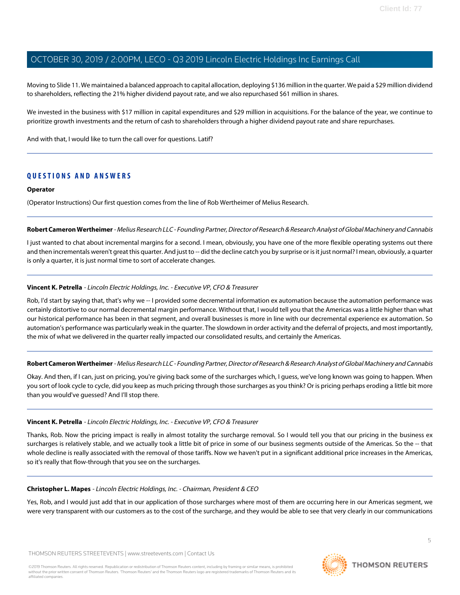Moving to Slide 11. We maintained a balanced approach to capital allocation, deploying \$136 million in the quarter. We paid a \$29 million dividend to shareholders, reflecting the 21% higher dividend payout rate, and we also repurchased \$61 million in shares.

We invested in the business with \$17 million in capital expenditures and \$29 million in acquisitions. For the balance of the year, we continue to prioritize growth investments and the return of cash to shareholders through a higher dividend payout rate and share repurchases.

And with that, I would like to turn the call over for questions. Latif?

# **QUESTIONS AND ANSWERS**

#### **Operator**

<span id="page-4-0"></span>(Operator Instructions) Our first question comes from the line of Rob Wertheimer of Melius Research.

## **Robert Cameron Wertheimer** - Melius Research LLC - Founding Partner, Director of Research & Research Analyst of Global Machinery and Cannabis

I just wanted to chat about incremental margins for a second. I mean, obviously, you have one of the more flexible operating systems out there and then incrementals weren't great this quarter. And just to -- did the decline catch you by surprise or is it just normal? I mean, obviously, a quarter is only a quarter, it is just normal time to sort of accelerate changes.

# **Vincent K. Petrella** - Lincoln Electric Holdings, Inc. - Executive VP, CFO & Treasurer

Rob, I'd start by saying that, that's why we -- I provided some decremental information ex automation because the automation performance was certainly distortive to our normal decremental margin performance. Without that, I would tell you that the Americas was a little higher than what our historical performance has been in that segment, and overall businesses is more in line with our decremental experience ex automation. So automation's performance was particularly weak in the quarter. The slowdown in order activity and the deferral of projects, and most importantly, the mix of what we delivered in the quarter really impacted our consolidated results, and certainly the Americas.

## **Robert Cameron Wertheimer** - Melius Research LLC - Founding Partner, Director of Research & Research Analyst of Global Machinery and Cannabis

Okay. And then, if I can, just on pricing, you're giving back some of the surcharges which, I guess, we've long known was going to happen. When you sort of look cycle to cycle, did you keep as much pricing through those surcharges as you think? Or is pricing perhaps eroding a little bit more than you would've guessed? And I'll stop there.

## **Vincent K. Petrella** - Lincoln Electric Holdings, Inc. - Executive VP, CFO & Treasurer

Thanks, Rob. Now the pricing impact is really in almost totality the surcharge removal. So I would tell you that our pricing in the business ex surcharges is relatively stable, and we actually took a little bit of price in some of our business segments outside of the Americas. So the -- that whole decline is really associated with the removal of those tariffs. Now we haven't put in a significant additional price increases in the Americas, so it's really that flow-through that you see on the surcharges.

## **Christopher L. Mapes** - Lincoln Electric Holdings, Inc. - Chairman, President & CEO

Yes, Rob, and I would just add that in our application of those surcharges where most of them are occurring here in our Americas segment, we were very transparent with our customers as to the cost of the surcharge, and they would be able to see that very clearly in our communications

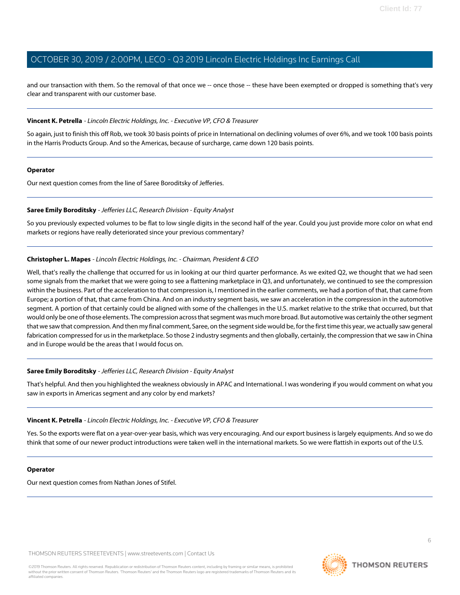and our transaction with them. So the removal of that once we -- once those -- these have been exempted or dropped is something that's very clear and transparent with our customer base.

#### **Vincent K. Petrella** - Lincoln Electric Holdings, Inc. - Executive VP, CFO & Treasurer

So again, just to finish this off Rob, we took 30 basis points of price in International on declining volumes of over 6%, and we took 100 basis points in the Harris Products Group. And so the Americas, because of surcharge, came down 120 basis points.

#### **Operator**

<span id="page-5-0"></span>Our next question comes from the line of Saree Boroditsky of Jefferies.

#### **Saree Emily Boroditsky** - Jefferies LLC, Research Division - Equity Analyst

So you previously expected volumes to be flat to low single digits in the second half of the year. Could you just provide more color on what end markets or regions have really deteriorated since your previous commentary?

## **Christopher L. Mapes** - Lincoln Electric Holdings, Inc. - Chairman, President & CEO

Well, that's really the challenge that occurred for us in looking at our third quarter performance. As we exited Q2, we thought that we had seen some signals from the market that we were going to see a flattening marketplace in Q3, and unfortunately, we continued to see the compression within the business. Part of the acceleration to that compression is, I mentioned in the earlier comments, we had a portion of that, that came from Europe; a portion of that, that came from China. And on an industry segment basis, we saw an acceleration in the compression in the automotive segment. A portion of that certainly could be aligned with some of the challenges in the U.S. market relative to the strike that occurred, but that would only be one of those elements. The compression across that segment was much more broad. But automotive was certainly the other segment that we saw that compression. And then my final comment, Saree, on the segment side would be, for the first time this year, we actually saw general fabrication compressed for us in the marketplace. So those 2 industry segments and then globally, certainly, the compression that we saw in China and in Europe would be the areas that I would focus on.

#### **Saree Emily Boroditsky** - Jefferies LLC, Research Division - Equity Analyst

That's helpful. And then you highlighted the weakness obviously in APAC and International. I was wondering if you would comment on what you saw in exports in Americas segment and any color by end markets?

#### **Vincent K. Petrella** - Lincoln Electric Holdings, Inc. - Executive VP, CFO & Treasurer

Yes. So the exports were flat on a year-over-year basis, which was very encouraging. And our export business is largely equipments. And so we do think that some of our newer product introductions were taken well in the international markets. So we were flattish in exports out of the U.S.

#### **Operator**

Our next question comes from Nathan Jones of Stifel.

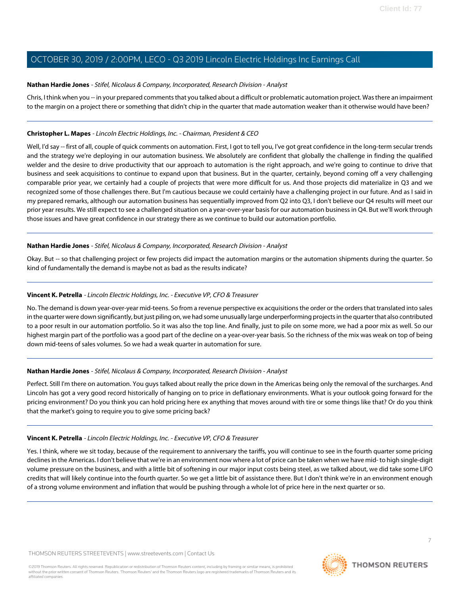## <span id="page-6-0"></span>**Nathan Hardie Jones** - Stifel, Nicolaus & Company, Incorporated, Research Division - Analyst

Chris, I think when you -- in your prepared comments that you talked about a difficult or problematic automation project. Was there an impairment to the margin on a project there or something that didn't chip in the quarter that made automation weaker than it otherwise would have been?

# **Christopher L. Mapes** - Lincoln Electric Holdings, Inc. - Chairman, President & CEO

Well, I'd say -- first of all, couple of quick comments on automation. First, I got to tell you, I've got great confidence in the long-term secular trends and the strategy we're deploying in our automation business. We absolutely are confident that globally the challenge in finding the qualified welder and the desire to drive productivity that our approach to automation is the right approach, and we're going to continue to drive that business and seek acquisitions to continue to expand upon that business. But in the quarter, certainly, beyond coming off a very challenging comparable prior year, we certainly had a couple of projects that were more difficult for us. And those projects did materialize in Q3 and we recognized some of those challenges there. But I'm cautious because we could certainly have a challenging project in our future. And as I said in my prepared remarks, although our automation business has sequentially improved from Q2 into Q3, I don't believe our Q4 results will meet our prior year results. We still expect to see a challenged situation on a year-over-year basis for our automation business in Q4. But we'll work through those issues and have great confidence in our strategy there as we continue to build our automation portfolio.

# **Nathan Hardie Jones** - Stifel, Nicolaus & Company, Incorporated, Research Division - Analyst

Okay. But -- so that challenging project or few projects did impact the automation margins or the automation shipments during the quarter. So kind of fundamentally the demand is maybe not as bad as the results indicate?

# **Vincent K. Petrella** - Lincoln Electric Holdings, Inc. - Executive VP, CFO & Treasurer

No. The demand is down year-over-year mid-teens. So from a revenue perspective ex acquisitions the order or the orders that translated into sales in the quarter were down significantly, but just piling on, we had some unusually large underperforming projects in the quarter that also contributed to a poor result in our automation portfolio. So it was also the top line. And finally, just to pile on some more, we had a poor mix as well. So our highest margin part of the portfolio was a good part of the decline on a year-over-year basis. So the richness of the mix was weak on top of being down mid-teens of sales volumes. So we had a weak quarter in automation for sure.

## **Nathan Hardie Jones** - Stifel, Nicolaus & Company, Incorporated, Research Division - Analyst

Perfect. Still I'm there on automation. You guys talked about really the price down in the Americas being only the removal of the surcharges. And Lincoln has got a very good record historically of hanging on to price in deflationary environments. What is your outlook going forward for the pricing environment? Do you think you can hold pricing here ex anything that moves around with tire or some things like that? Or do you think that the market's going to require you to give some pricing back?

## **Vincent K. Petrella** - Lincoln Electric Holdings, Inc. - Executive VP, CFO & Treasurer

Yes. I think, where we sit today, because of the requirement to anniversary the tariffs, you will continue to see in the fourth quarter some pricing declines in the Americas. I don't believe that we're in an environment now where a lot of price can be taken when we have mid- to high single-digit volume pressure on the business, and with a little bit of softening in our major input costs being steel, as we talked about, we did take some LIFO credits that will likely continue into the fourth quarter. So we get a little bit of assistance there. But I don't think we're in an environment enough of a strong volume environment and inflation that would be pushing through a whole lot of price here in the next quarter or so.

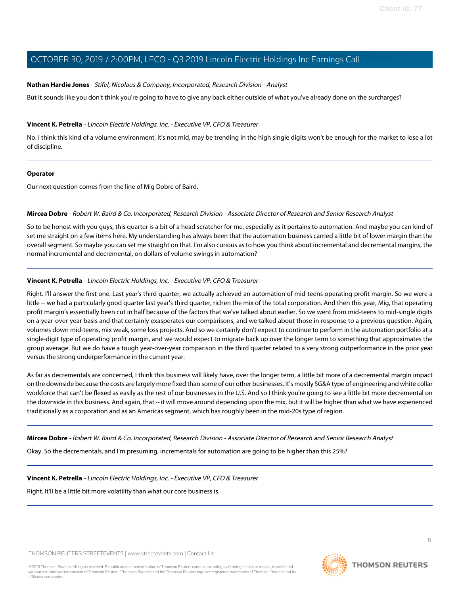## **Nathan Hardie Jones** - Stifel, Nicolaus & Company, Incorporated, Research Division - Analyst

But it sounds like you don't think you're going to have to give any back either outside of what you've already done on the surcharges?

# **Vincent K. Petrella** - Lincoln Electric Holdings, Inc. - Executive VP, CFO & Treasurer

No. I think this kind of a volume environment, it's not mid, may be trending in the high single digits won't be enough for the market to lose a lot of discipline.

## **Operator**

<span id="page-7-0"></span>Our next question comes from the line of Mig Dobre of Baird.

## **Mircea Dobre** - Robert W. Baird & Co. Incorporated, Research Division - Associate Director of Research and Senior Research Analyst

So to be honest with you guys, this quarter is a bit of a head scratcher for me, especially as it pertains to automation. And maybe you can kind of set me straight on a few items here. My understanding has always been that the automation business carried a little bit of lower margin than the overall segment. So maybe you can set me straight on that. I'm also curious as to how you think about incremental and decremental margins, the normal incremental and decremental, on dollars of volume swings in automation?

# **Vincent K. Petrella** - Lincoln Electric Holdings, Inc. - Executive VP, CFO & Treasurer

Right. I'll answer the first one. Last year's third quarter, we actually achieved an automation of mid-teens operating profit margin. So we were a little -- we had a particularly good quarter last year's third quarter, richen the mix of the total corporation. And then this year, Mig, that operating profit margin's essentially been cut in half because of the factors that we've talked about earlier. So we went from mid-teens to mid-single digits on a year-over-year basis and that certainly exasperates our comparisons, and we talked about those in response to a previous question. Again, volumes down mid-teens, mix weak, some loss projects. And so we certainly don't expect to continue to perform in the automation portfolio at a single-digit type of operating profit margin, and we would expect to migrate back up over the longer term to something that approximates the group average. But we do have a tough year-over-year comparison in the third quarter related to a very strong outperformance in the prior year versus the strong underperformance in the current year.

As far as decrementals are concerned, I think this business will likely have, over the longer term, a little bit more of a decremental margin impact on the downside because the costs are largely more fixed than some of our other businesses. It's mostly SG&A type of engineering and white collar workforce that can't be flexed as easily as the rest of our businesses in the U.S. And so I think you're going to see a little bit more decremental on the downside in this business. And again, that -- it will move around depending upon the mix, but it will be higher than what we have experienced traditionally as a corporation and as an Americas segment, which has roughly been in the mid-20s type of region.

**Mircea Dobre** - Robert W. Baird & Co. Incorporated, Research Division - Associate Director of Research and Senior Research Analyst

Okay. So the decrementals, and I'm presuming, incrementals for automation are going to be higher than this 25%?

**Vincent K. Petrella** - Lincoln Electric Holdings, Inc. - Executive VP, CFO & Treasurer

Right. It'll be a little bit more volatility than what our core business is.

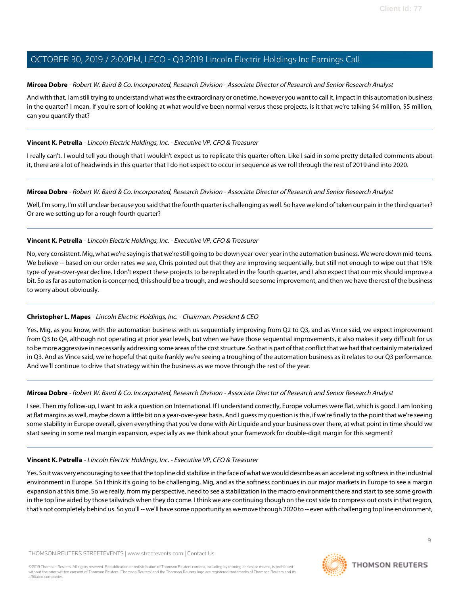# **Mircea Dobre** - Robert W. Baird & Co. Incorporated, Research Division - Associate Director of Research and Senior Research Analyst

And with that, I am still trying to understand what was the extraordinary or onetime, however you want to call it, impact in this automation business in the quarter? I mean, if you're sort of looking at what would've been normal versus these projects, is it that we're talking \$4 million, \$5 million, can you quantify that?

# **Vincent K. Petrella** - Lincoln Electric Holdings, Inc. - Executive VP, CFO & Treasurer

I really can't. I would tell you though that I wouldn't expect us to replicate this quarter often. Like I said in some pretty detailed comments about it, there are a lot of headwinds in this quarter that I do not expect to occur in sequence as we roll through the rest of 2019 and into 2020.

# **Mircea Dobre** - Robert W. Baird & Co. Incorporated, Research Division - Associate Director of Research and Senior Research Analyst

Well, I'm sorry, I'm still unclear because you said that the fourth quarter is challenging as well. So have we kind of taken our pain in the third quarter? Or are we setting up for a rough fourth quarter?

# **Vincent K. Petrella** - Lincoln Electric Holdings, Inc. - Executive VP, CFO & Treasurer

No, very consistent. Mig, what we're saying is that we're still going to be down year-over-year in the automation business. We were down mid-teens. We believe -- based on our order rates we see, Chris pointed out that they are improving sequentially, but still not enough to wipe out that 15% type of year-over-year decline. I don't expect these projects to be replicated in the fourth quarter, and I also expect that our mix should improve a bit. So as far as automation is concerned, this should be a trough, and we should see some improvement, and then we have the rest of the business to worry about obviously.

# **Christopher L. Mapes** - Lincoln Electric Holdings, Inc. - Chairman, President & CEO

Yes, Mig, as you know, with the automation business with us sequentially improving from Q2 to Q3, and as Vince said, we expect improvement from Q3 to Q4, although not operating at prior year levels, but when we have those sequential improvements, it also makes it very difficult for us to be more aggressive in necessarily addressing some areas of the cost structure. So that is part of that conflict that we had that certainly materialized in Q3. And as Vince said, we're hopeful that quite frankly we're seeing a troughing of the automation business as it relates to our Q3 performance. And we'll continue to drive that strategy within the business as we move through the rest of the year.

# **Mircea Dobre** - Robert W. Baird & Co. Incorporated, Research Division - Associate Director of Research and Senior Research Analyst

I see. Then my follow-up, I want to ask a question on International. If I understand correctly, Europe volumes were flat, which is good. I am looking at flat margins as well, maybe down a little bit on a year-over-year basis. And I guess my question is this, if we're finally to the point that we're seeing some stability in Europe overall, given everything that you've done with Air Liquide and your business over there, at what point in time should we start seeing in some real margin expansion, especially as we think about your framework for double-digit margin for this segment?

## **Vincent K. Petrella** - Lincoln Electric Holdings, Inc. - Executive VP, CFO & Treasurer

Yes. So it was very encouraging to see that the top line did stabilize in the face of what we would describe as an accelerating softness in the industrial environment in Europe. So I think it's going to be challenging, Mig, and as the softness continues in our major markets in Europe to see a margin expansion at this time. So we really, from my perspective, need to see a stabilization in the macro environment there and start to see some growth in the top line aided by those tailwinds when they do come. I think we are continuing though on the cost side to compress out costs in that region, that's not completely behind us. So you'll -- we'll have some opportunity as we move through 2020 to -- even with challenging top line environment,

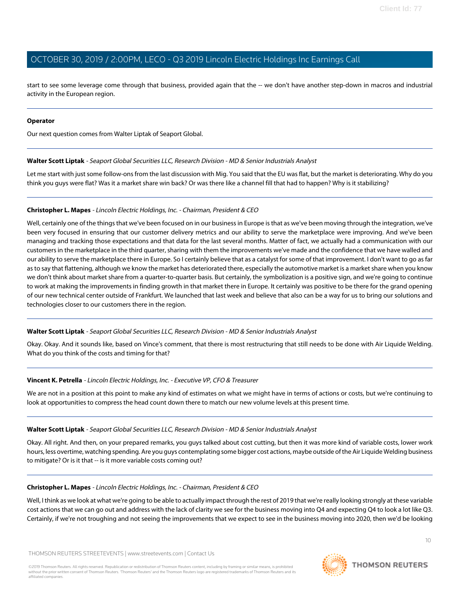start to see some leverage come through that business, provided again that the -- we don't have another step-down in macros and industrial activity in the European region.

## **Operator**

<span id="page-9-0"></span>Our next question comes from Walter Liptak of Seaport Global.

#### **Walter Scott Liptak** - Seaport Global Securities LLC, Research Division - MD & Senior Industrials Analyst

Let me start with just some follow-ons from the last discussion with Mig. You said that the EU was flat, but the market is deteriorating. Why do you think you guys were flat? Was it a market share win back? Or was there like a channel fill that had to happen? Why is it stabilizing?

## **Christopher L. Mapes** - Lincoln Electric Holdings, Inc. - Chairman, President & CEO

Well, certainly one of the things that we've been focused on in our business in Europe is that as we've been moving through the integration, we've been very focused in ensuring that our customer delivery metrics and our ability to serve the marketplace were improving. And we've been managing and tracking those expectations and that data for the last several months. Matter of fact, we actually had a communication with our customers in the marketplace in the third quarter, sharing with them the improvements we've made and the confidence that we have walled and our ability to serve the marketplace there in Europe. So I certainly believe that as a catalyst for some of that improvement. I don't want to go as far as to say that flattening, although we know the market has deteriorated there, especially the automotive market is a market share when you know we don't think about market share from a quarter-to-quarter basis. But certainly, the symbolization is a positive sign, and we're going to continue to work at making the improvements in finding growth in that market there in Europe. It certainly was positive to be there for the grand opening of our new technical center outside of Frankfurt. We launched that last week and believe that also can be a way for us to bring our solutions and technologies closer to our customers there in the region.

## **Walter Scott Liptak** - Seaport Global Securities LLC, Research Division - MD & Senior Industrials Analyst

Okay. Okay. And it sounds like, based on Vince's comment, that there is most restructuring that still needs to be done with Air Liquide Welding. What do you think of the costs and timing for that?

## **Vincent K. Petrella** - Lincoln Electric Holdings, Inc. - Executive VP, CFO & Treasurer

We are not in a position at this point to make any kind of estimates on what we might have in terms of actions or costs, but we're continuing to look at opportunities to compress the head count down there to match our new volume levels at this present time.

#### **Walter Scott Liptak** - Seaport Global Securities LLC, Research Division - MD & Senior Industrials Analyst

Okay. All right. And then, on your prepared remarks, you guys talked about cost cutting, but then it was more kind of variable costs, lower work hours, less overtime, watching spending. Are you guys contemplating some bigger cost actions, maybe outside of the Air Liquide Welding business to mitigate? Or is it that -- is it more variable costs coming out?

#### **Christopher L. Mapes** - Lincoln Electric Holdings, Inc. - Chairman, President & CEO

Well, I think as we look at what we're going to be able to actually impact through the rest of 2019 that we're really looking strongly at these variable cost actions that we can go out and address with the lack of clarity we see for the business moving into Q4 and expecting Q4 to look a lot like Q3. Certainly, if we're not troughing and not seeing the improvements that we expect to see in the business moving into 2020, then we'd be looking

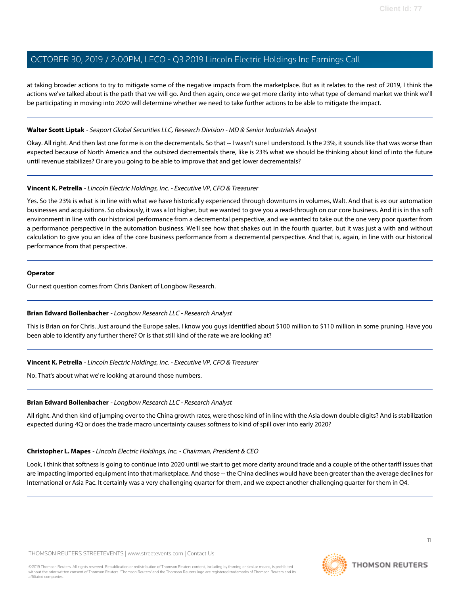at taking broader actions to try to mitigate some of the negative impacts from the marketplace. But as it relates to the rest of 2019, I think the actions we've talked about is the path that we will go. And then again, once we get more clarity into what type of demand market we think we'll be participating in moving into 2020 will determine whether we need to take further actions to be able to mitigate the impact.

## **Walter Scott Liptak** - Seaport Global Securities LLC, Research Division - MD & Senior Industrials Analyst

Okay. All right. And then last one for me is on the decrementals. So that -- I wasn't sure I understood. Is the 23%, it sounds like that was worse than expected because of North America and the outsized decrementals there, like is 23% what we should be thinking about kind of into the future until revenue stabilizes? Or are you going to be able to improve that and get lower decrementals?

# **Vincent K. Petrella** - Lincoln Electric Holdings, Inc. - Executive VP, CFO & Treasurer

Yes. So the 23% is what is in line with what we have historically experienced through downturns in volumes, Walt. And that is ex our automation businesses and acquisitions. So obviously, it was a lot higher, but we wanted to give you a read-through on our core business. And it is in this soft environment in line with our historical performance from a decremental perspective, and we wanted to take out the one very poor quarter from a performance perspective in the automation business. We'll see how that shakes out in the fourth quarter, but it was just a with and without calculation to give you an idea of the core business performance from a decremental perspective. And that is, again, in line with our historical performance from that perspective.

## **Operator**

<span id="page-10-0"></span>Our next question comes from Chris Dankert of Longbow Research.

## **Brian Edward Bollenbacher** - Longbow Research LLC - Research Analyst

This is Brian on for Chris. Just around the Europe sales, I know you guys identified about \$100 million to \$110 million in some pruning. Have you been able to identify any further there? Or is that still kind of the rate we are looking at?

## **Vincent K. Petrella** - Lincoln Electric Holdings, Inc. - Executive VP, CFO & Treasurer

No. That's about what we're looking at around those numbers.

## **Brian Edward Bollenbacher** - Longbow Research LLC - Research Analyst

All right. And then kind of jumping over to the China growth rates, were those kind of in line with the Asia down double digits? And is stabilization expected during 4Q or does the trade macro uncertainty causes softness to kind of spill over into early 2020?

## **Christopher L. Mapes** - Lincoln Electric Holdings, Inc. - Chairman, President & CEO

Look, I think that softness is going to continue into 2020 until we start to get more clarity around trade and a couple of the other tariff issues that are impacting imported equipment into that marketplace. And those -- the China declines would have been greater than the average declines for International or Asia Pac. It certainly was a very challenging quarter for them, and we expect another challenging quarter for them in Q4.

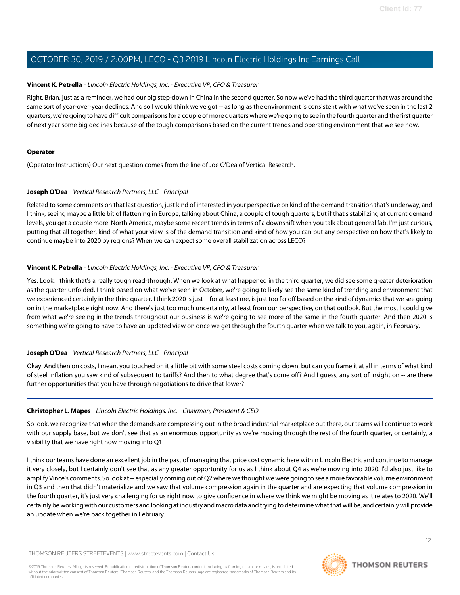## **Vincent K. Petrella** - Lincoln Electric Holdings, Inc. - Executive VP, CFO & Treasurer

Right. Brian, just as a reminder, we had our big step-down in China in the second quarter. So now we've had the third quarter that was around the same sort of year-over-year declines. And so I would think we've got -- as long as the environment is consistent with what we've seen in the last 2 quarters, we're going to have difficult comparisons for a couple of more quarters where we're going to see in the fourth quarter and the first quarter of next year some big declines because of the tough comparisons based on the current trends and operating environment that we see now.

## **Operator**

<span id="page-11-0"></span>(Operator Instructions) Our next question comes from the line of Joe O'Dea of Vertical Research.

# **Joseph O'Dea** - Vertical Research Partners, LLC - Principal

Related to some comments on that last question, just kind of interested in your perspective on kind of the demand transition that's underway, and I think, seeing maybe a little bit of flattening in Europe, talking about China, a couple of tough quarters, but if that's stabilizing at current demand levels, you get a couple more. North America, maybe some recent trends in terms of a downshift when you talk about general fab. I'm just curious, putting that all together, kind of what your view is of the demand transition and kind of how you can put any perspective on how that's likely to continue maybe into 2020 by regions? When we can expect some overall stabilization across LECO?

# **Vincent K. Petrella** - Lincoln Electric Holdings, Inc. - Executive VP, CFO & Treasurer

Yes. Look, I think that's a really tough read-through. When we look at what happened in the third quarter, we did see some greater deterioration as the quarter unfolded. I think based on what we've seen in October, we're going to likely see the same kind of trending and environment that we experienced certainly in the third quarter. I think 2020 is just -- for at least me, is just too far off based on the kind of dynamics that we see going on in the marketplace right now. And there's just too much uncertainty, at least from our perspective, on that outlook. But the most I could give from what we're seeing in the trends throughout our business is we're going to see more of the same in the fourth quarter. And then 2020 is something we're going to have to have an updated view on once we get through the fourth quarter when we talk to you, again, in February.

## **Joseph O'Dea** - Vertical Research Partners, LLC - Principal

Okay. And then on costs, I mean, you touched on it a little bit with some steel costs coming down, but can you frame it at all in terms of what kind of steel inflation you saw kind of subsequent to tariffs? And then to what degree that's come off? And I guess, any sort of insight on -- are there further opportunities that you have through negotiations to drive that lower?

## **Christopher L. Mapes** - Lincoln Electric Holdings, Inc. - Chairman, President & CEO

So look, we recognize that when the demands are compressing out in the broad industrial marketplace out there, our teams will continue to work with our supply base, but we don't see that as an enormous opportunity as we're moving through the rest of the fourth quarter, or certainly, a visibility that we have right now moving into Q1.

I think our teams have done an excellent job in the past of managing that price cost dynamic here within Lincoln Electric and continue to manage it very closely, but I certainly don't see that as any greater opportunity for us as I think about Q4 as we're moving into 2020. I'd also just like to amplify Vince's comments. So look at -- especially coming out of Q2 where we thought we were going to see a more favorable volume environment in Q3 and then that didn't materialize and we saw that volume compression again in the quarter and are expecting that volume compression in the fourth quarter, it's just very challenging for us right now to give confidence in where we think we might be moving as it relates to 2020. We'll certainly be working with our customers and looking at industry and macro data and trying to determine what that will be, and certainly will provide an update when we're back together in February.



**THOMSON REUTERS**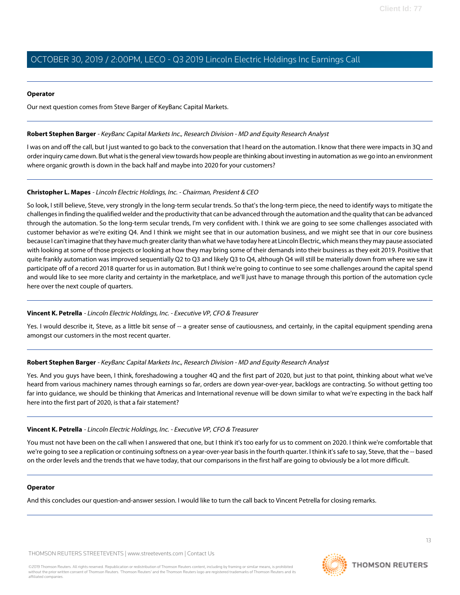## **Operator**

Our next question comes from Steve Barger of KeyBanc Capital Markets.

# <span id="page-12-0"></span>**Robert Stephen Barger** - KeyBanc Capital Markets Inc., Research Division - MD and Equity Research Analyst

I was on and off the call, but I just wanted to go back to the conversation that I heard on the automation. I know that there were impacts in 3Q and order inquiry came down. But what is the general view towards how people are thinking about investing in automation as we go into an environment where organic growth is down in the back half and maybe into 2020 for your customers?

# **Christopher L. Mapes** - Lincoln Electric Holdings, Inc. - Chairman, President & CEO

So look, I still believe, Steve, very strongly in the long-term secular trends. So that's the long-term piece, the need to identify ways to mitigate the challenges in finding the qualified welder and the productivity that can be advanced through the automation and the quality that can be advanced through the automation. So the long-term secular trends, I'm very confident with. I think we are going to see some challenges associated with customer behavior as we're exiting Q4. And I think we might see that in our automation business, and we might see that in our core business because I can't imagine that they have much greater clarity than what we have today here at Lincoln Electric, which means they may pause associated with looking at some of those projects or looking at how they may bring some of their demands into their business as they exit 2019. Positive that quite frankly automation was improved sequentially Q2 to Q3 and likely Q3 to Q4, although Q4 will still be materially down from where we saw it participate off of a record 2018 quarter for us in automation. But I think we're going to continue to see some challenges around the capital spend and would like to see more clarity and certainty in the marketplace, and we'll just have to manage through this portion of the automation cycle here over the next couple of quarters.

## **Vincent K. Petrella** - Lincoln Electric Holdings, Inc. - Executive VP, CFO & Treasurer

Yes. I would describe it, Steve, as a little bit sense of -- a greater sense of cautiousness, and certainly, in the capital equipment spending arena amongst our customers in the most recent quarter.

# **Robert Stephen Barger** - KeyBanc Capital Markets Inc., Research Division - MD and Equity Research Analyst

Yes. And you guys have been, I think, foreshadowing a tougher 4Q and the first part of 2020, but just to that point, thinking about what we've heard from various machinery names through earnings so far, orders are down year-over-year, backlogs are contracting. So without getting too far into guidance, we should be thinking that Americas and International revenue will be down similar to what we're expecting in the back half here into the first part of 2020, is that a fair statement?

# **Vincent K. Petrella** - Lincoln Electric Holdings, Inc. - Executive VP, CFO & Treasurer

You must not have been on the call when I answered that one, but I think it's too early for us to comment on 2020. I think we're comfortable that we're going to see a replication or continuing softness on a year-over-year basis in the fourth quarter. I think it's safe to say, Steve, that the -- based on the order levels and the trends that we have today, that our comparisons in the first half are going to obviously be a lot more difficult.

## **Operator**

And this concludes our question-and-answer session. I would like to turn the call back to Vincent Petrella for closing remarks.